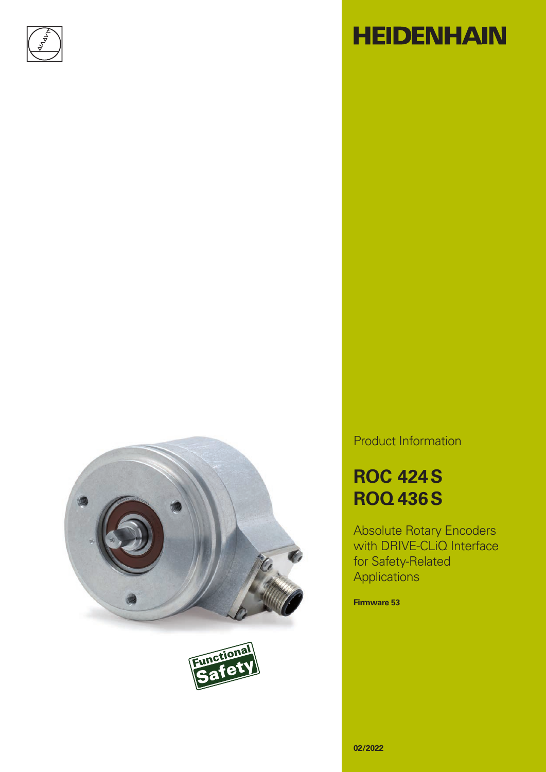







Product Information

# **ROC 424S ROQ 436S**

Absolute Rotary Encoders with DRIVE-CLIQ Interface for Safety-Related **Applications** 

**Firmware 53**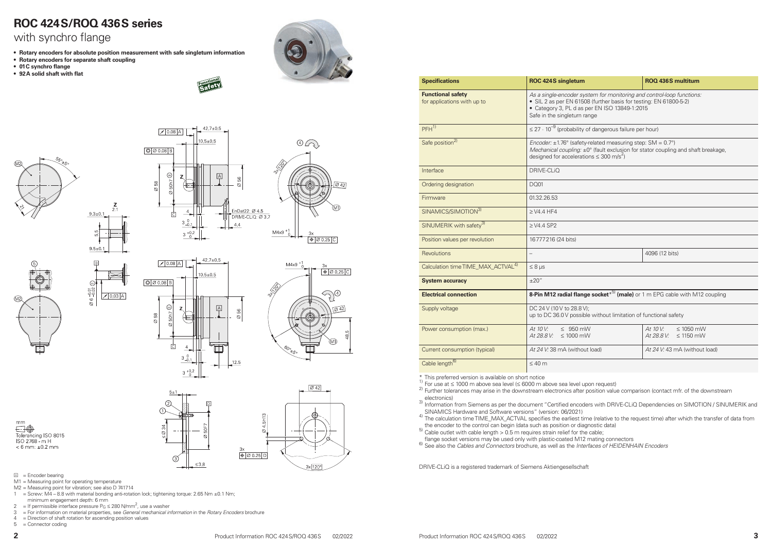- M1 = Measuring point for operating temperature
- M2 = Measuring point for vibration; see also D 741714
- $1 =$  Screw: M4 8.8 with material bonding anti-rotation lock; tightening torque: 2.65 Nm  $\pm$ 0.1 Nm; minimum engagement depth: 6 mm
- 2 = If permissible interface pressure  $P_G \le 280 \text{ N/mm}^2$ , use a washer
- 3 = For information on material properties, see *General mechanical information* in the *Rotary Encoders* brochure
- 4 = Direction of shaft rotation for ascending position values
- 5 = Connector coding

electronics) 3) Information from Siemens as per the document "Certified encoders with DRIVE-CLiQ Dependencies on SIMOTION / SINUMERIK and

| <b>Specifications</b>                                   | <b>ROC 424S singletum</b>                                                                                                                                                                                                   | <b>ROQ 436S multitum</b>                                   |  |  |
|---------------------------------------------------------|-----------------------------------------------------------------------------------------------------------------------------------------------------------------------------------------------------------------------------|------------------------------------------------------------|--|--|
| <b>Functional safety</b><br>for applications with up to | As a single-encoder system for monitoring and control-loop functions:<br>• SIL 2 as per EN 61508 (further basis for testing: EN 61800-5-2)<br>• Category 3, PL d as per EN ISO 13849-1:2015<br>Safe in the singleturn range |                                                            |  |  |
| $PFH^{1}$                                               | $\leq$ 27 $\cdot$ 10 <sup>-9</sup> (probability of dangerous failure per hour)                                                                                                                                              |                                                            |  |  |
| Safe position <sup>2)</sup>                             | Encoder: $\pm$ 1.76° (safety-related measuring step: SM = 0.7°)<br>Mechanical coupling: ±0° (fault exclusion for stator coupling and shaft breakage,<br>designed for accelerations $\leq 300$ m/s <sup>2</sup> )            |                                                            |  |  |
| Interface                                               | DRIVE-CLIQ                                                                                                                                                                                                                  |                                                            |  |  |
| Ordering designation                                    | <b>DQ01</b>                                                                                                                                                                                                                 |                                                            |  |  |
| Firmware                                                | 01.32.26.53                                                                                                                                                                                                                 |                                                            |  |  |
| SINAMICS/SIMOTION <sup>3)</sup>                         | $\geq$ V4.4 HF4                                                                                                                                                                                                             |                                                            |  |  |
| SINUMERIK with safety <sup>3)</sup>                     | $\geq$ V4.4 SP2                                                                                                                                                                                                             |                                                            |  |  |
| Position values per revolution                          | 16777216 (24 bits)                                                                                                                                                                                                          |                                                            |  |  |
| <b>Revolutions</b>                                      | $\overline{a}$                                                                                                                                                                                                              | 4096 (12 bits)                                             |  |  |
| Calculation time TIME_MAX_ACTVAL <sup>4)</sup>          | $\leq 8$ µs                                                                                                                                                                                                                 |                                                            |  |  |
| <b>System accuracy</b>                                  | ±20''                                                                                                                                                                                                                       |                                                            |  |  |
| <b>Electrical connection</b>                            | <b>8-Pin M12 radial flange socket</b> $*^{5}$ (male) or 1 m EPG cable with M12 coupling                                                                                                                                     |                                                            |  |  |
| Supply voltage                                          | DC 24 V (10 V to 28.8 V);<br>up to DC 36.0 V possible without limitation of functional safety                                                                                                                               |                                                            |  |  |
| Power consumption (max.)                                | At 10 V:<br>$\leq$ 950 mW<br>At 28.8 V: $\leq$ 1000 mW                                                                                                                                                                      | At 10 V:<br>$\leq 1050$ mW<br>At 28.8 V:<br>$\leq$ 1150 mW |  |  |
| Current consumption (typical)                           | At 24 V: 38 mA (without load)<br>At 24 V: 43 mA (without load)                                                                                                                                                              |                                                            |  |  |
| Cable length <sup>6)</sup>                              | $\leq 40$ m                                                                                                                                                                                                                 |                                                            |  |  |

\* This preferred version is available on short notice<br>
<sup>1)</sup> For use at ≤ 1000 m above sea level (≤ 6000 m above sea level upon request)<br>
<sup>2)</sup> Further tolerances may arise in the downstream electronics after position valu

- SINAMICS Hardware and Software versions" (version: 06/2021) 4) The calculation time TIME\_MAX\_ACTVAL specifies the earliest time (relative to the request time) after which the transfer of data from
- the encoder to the control can begin (data such as position or diagnostic data)<br>
<sup>5)</sup> Cable outlet with cable length > 0.5 m requires strain relief for the cable;<br>
Inange socket versions may be used only with plastic-coat
- 
- flange socket versions may be used only with plastic-coated M12 mating connectors 6) See also the *Cables and Connectors* brochure, as well as the *Interfaces of HEIDENHAIN Encoders*

DRIVE-CLiQ is a registered trademark of Siemens Aktiengesellschaft

|                                                                                                                                       | <b>ROQ 436S multitum</b>                                           |  |  |
|---------------------------------------------------------------------------------------------------------------------------------------|--------------------------------------------------------------------|--|--|
| ystem for monitoring and control-loop functions:<br>608 (further basis for testing: EN 61800-5-2)<br>per EN ISO 13849-1:2015<br>range |                                                                    |  |  |
| of dangerous failure per hour)                                                                                                        |                                                                    |  |  |
| ty-related measuring step: $SM = 0.7^{\circ}$ )<br>tions $\leq 300 \text{ m/s}^2$ )                                                   | ±0° (fault exclusion for stator coupling and shaft breakage,       |  |  |
|                                                                                                                                       |                                                                    |  |  |
|                                                                                                                                       |                                                                    |  |  |
|                                                                                                                                       |                                                                    |  |  |
|                                                                                                                                       |                                                                    |  |  |
|                                                                                                                                       |                                                                    |  |  |
|                                                                                                                                       |                                                                    |  |  |
|                                                                                                                                       | 4096 (12 bits)                                                     |  |  |
|                                                                                                                                       |                                                                    |  |  |
|                                                                                                                                       |                                                                    |  |  |
|                                                                                                                                       | ge socket* <sup>5)</sup> (male) or 1 m EPG cable with M12 coupling |  |  |
| V:<br>ble without limitation of functional safety                                                                                     |                                                                    |  |  |

### **ROC 424S/ROQ 436S series**

### with synchro flange

- **• Rotary encoders for absolute position measurement with safe singleturn information**
- **• Rotary encoders for separate shaft coupling**
- **• 01C synchro flange**
- **• 92A solid shaft with flat**



 $42.7 \pm 0.5$ 

 $70.08$  A

 $\boxed{\circ$   $\oslash$  0.08 B

 $\frac{\infty}{10}$ 







 $9.5 + 0$ 

 $\varnothing$  6  $\frac{0.01}{-0.02}$ 



89

 $\overline{\circ}$ 













 $\boxed{A}$  = Encoder bearing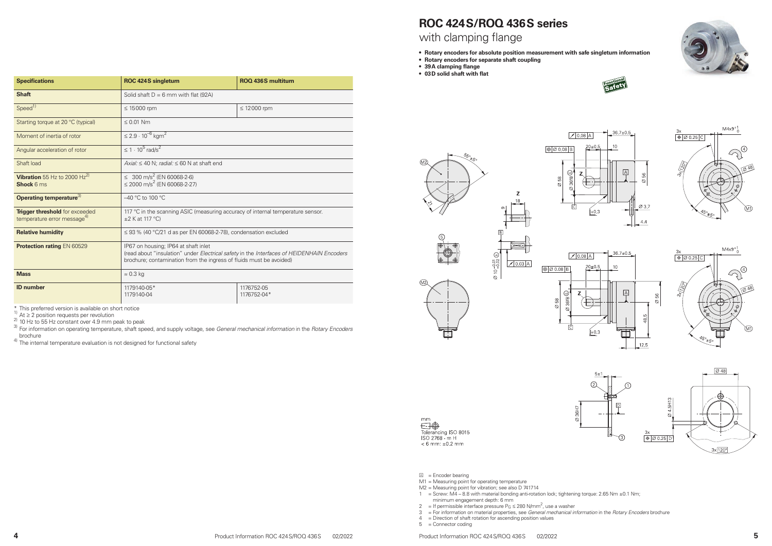### **ROC 424S/ROQ 436S series** with clamping flange

- **• Rotary encoders for absolute position measurement with safe singleturn information**
- **• Rotary encoders for separate shaft coupling**
- **• 39A clamping flange**
- **• 03D solid shaft with flat**





 $\mathbb{A}$  = Encoder bearing

- M1 = Measuring point for operating temperature
- M2 = Measuring point for vibration; see also D 741714
- $1 =$  Screw: M4 8.8 with material bonding anti-rotation lock; tightening torque: 2.65 Nm  $\pm$ 0.1 Nm; minimum engagement depth: 6 mm
- 2 = If permissible interface pressure  $P_G \le 280 \text{ N/mm}^2$ , use a washer
- 3 = For information on material properties, see *General mechanical information* in the *Rotary Encoders* brochure
- 4 = Direction of shaft rotation for ascending position values
- 5 = Connector coding











| <b>Specifications</b>                                                            | <b>ROC 424S singleturn</b>                                                                                                                                                                               | <b>ROQ 436S multiturn</b> |  |  |
|----------------------------------------------------------------------------------|----------------------------------------------------------------------------------------------------------------------------------------------------------------------------------------------------------|---------------------------|--|--|
| <b>Shaft</b>                                                                     | Solid shaft $D = 6$ mm with flat (92A)                                                                                                                                                                   |                           |  |  |
| Speed <sup>1)</sup>                                                              | $\leq$ 15000 rpm                                                                                                                                                                                         | $\leq$ 12000 rpm          |  |  |
| Starting torque at 20 °C (typical)                                               | $\leq 0.01$ Nm                                                                                                                                                                                           |                           |  |  |
| Moment of inertia of rotor                                                       | $\leq$ 2.9 $\cdot$ 10 <sup>-6</sup> kgm <sup>2</sup>                                                                                                                                                     |                           |  |  |
| Angular acceleration of rotor                                                    | $\leq 1 \cdot 10^5$ rad/s <sup>2</sup>                                                                                                                                                                   |                           |  |  |
| Shaft load                                                                       | Axial: $\leq 40$ N; radial: $\leq 60$ N at shaft end                                                                                                                                                     |                           |  |  |
| <b>Vibration</b> 55 Hz to 2000 Hz <sup>2)</sup><br><b>Shock 6 ms</b>             | $\leq 300 \text{ m/s}^2$ (EN 60068-2-6)<br>$\leq$ 2000 m/s <sup>2</sup> (EN 60068-2-27)                                                                                                                  |                           |  |  |
| Operating temperature <sup>3)</sup>                                              | $-40$ °C to 100 °C                                                                                                                                                                                       |                           |  |  |
| <b>Trigger threshold</b> for exceeded<br>temperature error message <sup>4)</sup> | 117 °C in the scanning ASIC (measuring accuracy of internal temperature sensor.<br>$\pm 2$ K at 117 °C)                                                                                                  |                           |  |  |
| <b>Relative humidity</b>                                                         | $\leq$ 93 % (40 °C/21 d as per EN 60068-2-78), condensation excluded                                                                                                                                     |                           |  |  |
| <b>Protection rating EN 60529</b>                                                | IP67 on housing; IP64 at shaft inlet<br>(read about "insulation" under Electrical safety in the Interfaces of HEIDENHAIN Encoders<br>brochure; contamination from the ingress of fluids must be avoided) |                           |  |  |
| <b>Mass</b>                                                                      | $\approx 0.3$ kg                                                                                                                                                                                         |                           |  |  |
| <b>ID</b> number                                                                 | 1179140-05*<br>1179140-04                                                                                                                                                                                | 1176752-05<br>1176752-04* |  |  |

\* This preferred version is available on short notice<br>
<sup>1)</sup> At ≥ 2 position requests per revolution<br>
<sup>2)</sup> 10 Hz to 55 Hz constant over 4.9 mm peak to peak<br>
<sup>3)</sup> For information on operating temperature, shaft speed, and s

brochure 4) The internal temperature evaluation is not designed for functional safety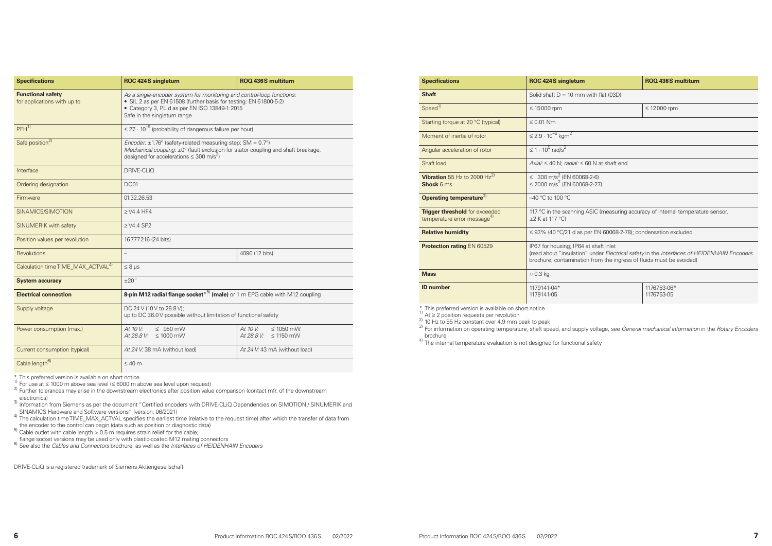| <b>Specifications</b>                                   | <b>ROC 424S singleturn</b>                                                                                                                                                                                                  | <b>ROQ 436S multiturn</b>                                  |  |  |  |
|---------------------------------------------------------|-----------------------------------------------------------------------------------------------------------------------------------------------------------------------------------------------------------------------------|------------------------------------------------------------|--|--|--|
| <b>Functional safety</b><br>for applications with up to | As a single-encoder system for monitoring and control-loop functions:<br>• SIL 2 as per EN 61508 (further basis for testing: EN 61800-5-2)<br>• Category 3, PL d as per EN ISO 13849-1:2015<br>Safe in the singleturn range |                                                            |  |  |  |
| $PFH$ <sup>1)</sup>                                     | $\leq$ 27 $\cdot$ 10 <sup>-9</sup> (probability of dangerous failure per hour)                                                                                                                                              |                                                            |  |  |  |
| Safe position <sup>2)</sup>                             | Encoder: $\pm$ 1.76° (safety-related measuring step: SM = 0.7°)<br>Mechanical coupling: ±0° (fault exclusion for stator coupling and shaft breakage,<br>designed for accelerations $\leq 300$ m/s <sup>2</sup> )            |                                                            |  |  |  |
| Interface                                               | <b>DRIVE-CLIQ</b>                                                                                                                                                                                                           |                                                            |  |  |  |
| Ordering designation                                    | <b>DQ01</b>                                                                                                                                                                                                                 |                                                            |  |  |  |
| Firmware                                                | 01.32.26.53                                                                                                                                                                                                                 |                                                            |  |  |  |
| SINAMICS/SIMOTION                                       | $\geq$ V4.4 HF4                                                                                                                                                                                                             |                                                            |  |  |  |
| SINUMERIK with safety                                   | $\geq$ V4.4 SP2                                                                                                                                                                                                             |                                                            |  |  |  |
| Position values per revolution                          | 16777216 (24 bits)                                                                                                                                                                                                          |                                                            |  |  |  |
| <b>Revolutions</b>                                      | $\overline{\phantom{0}}$                                                                                                                                                                                                    | 4096 (12 bits)                                             |  |  |  |
| Calculation time TIME_MAX_ACTVAL <sup>4)</sup>          | $\leq 8 \mu s$                                                                                                                                                                                                              |                                                            |  |  |  |
| <b>System accuracy</b>                                  | ±20''                                                                                                                                                                                                                       |                                                            |  |  |  |
| <b>Electrical connection</b>                            | <b>8-pin M12 radial flange socket</b> $*^{5}$ (male) or 1 m EPG cable with M12 coupling                                                                                                                                     |                                                            |  |  |  |
| Supply voltage                                          | DC 24 V (10 V to 28.8 V);<br>up to DC 36.0 V possible without limitation of functional safety                                                                                                                               |                                                            |  |  |  |
| Power consumption (max.)                                | At 10 V:<br>$\leq$ 950 mW<br>$At 28.8 V: \leq 1000$ mW                                                                                                                                                                      | At 10 V:<br>$\leq 1050$ mW<br>At 28.8 V:<br>$\leq$ 1150 mW |  |  |  |
| Current consumption (typical)                           | At 24 V: 38 mA (without load)<br>At 24 V: 43 mA (without load)                                                                                                                                                              |                                                            |  |  |  |
| Cable length <sup>6)</sup>                              | $\leq 40$ m                                                                                                                                                                                                                 |                                                            |  |  |  |

a sa T

\* This preferred version is available on short notice<br>
1) For use at  $\leq$  1000 m above sea level ( $\leq$  6000 m above sea level upon request)<br>
2) Further tolerances may arise in the downstream electronics after position v electronics)

- 3) Information from Siemens as per the document "Certified encoders with DRIVE-CLiQ Dependencies on SIMOTION / SINUMERIK and
- SINAMICS Hardware and Software versions" (version: 06/2021)<br><sup>4)</sup> The calculation time TIME\_MAX\_ACTVAL specifies the earliest time (relative to the request time) after which the transfer of data from
- the encoder to the control can begin (data such as position or diagnostic data)<br><sup>5)</sup> Cable outlet with cable length > 0.5 m requires strain relief for the cable;
- 
- flange socket versions may be used only with plastic-coated M12 mating connectors 6) See also the *Cables and Connectors* brochure, as well as the *Interfaces of HEIDENHAIN Encoders*

\* This preferred version is available on short notice<br>
1) At  $\geq$  2 position requests per revolution<br>
2) 10 Hz to 55 Hz constant over 4.9 mm peak to peak<br>
3) For information on operating temperature, shaft speed, and sup brochure

4) The internal temperature evaluation is not designed for functional safety

DRIVE-CLiQ is a registered trademark of Siemens Aktiengesellschaft

| <b>Specifications</b>                                                     | <b>ROC 424S singletum</b>                                                                                                                                                                        | <b>ROQ 436S multitum</b>  |  |  |  |  |
|---------------------------------------------------------------------------|--------------------------------------------------------------------------------------------------------------------------------------------------------------------------------------------------|---------------------------|--|--|--|--|
| <b>Shaft</b>                                                              | Solid shaft $D = 10$ mm with flat (03D)                                                                                                                                                          |                           |  |  |  |  |
| Speed $\overline{1}$                                                      | $\leq 15000$ rpm<br>$\leq 12000$ rpm                                                                                                                                                             |                           |  |  |  |  |
| Starting torque at 20 °C (typical)                                        | $\leq 0.01$ Nm                                                                                                                                                                                   |                           |  |  |  |  |
| Moment of inertia of rotor                                                | $\leq$ 2.9 $\cdot$ 10 <sup>-6</sup> kgm <sup>2</sup>                                                                                                                                             |                           |  |  |  |  |
| Angular acceleration of rotor                                             | $\leq 1 \cdot 10^5$ rad/s <sup>2</sup>                                                                                                                                                           |                           |  |  |  |  |
| Shaft load                                                                | Axial: $\leq 40$ N; radial: $\leq 60$ N at shaft end                                                                                                                                             |                           |  |  |  |  |
| <b>Vibration</b> 55 Hz to 2000 Hz <sup>2)</sup><br><b>Shock 6 ms</b>      | $\leq 300 \text{ m/s}^2$ (EN 60068-2-6)<br>$\leq$ 2000 m/s <sup>2</sup> (EN 60068-2-27)                                                                                                          |                           |  |  |  |  |
| Operating temperature <sup>3)</sup>                                       | $-40$ °C to 100 °C                                                                                                                                                                               |                           |  |  |  |  |
| Trigger threshold for exceeded<br>temperature error message <sup>4)</sup> | 117 °C in the scanning ASIC (measuring accuracy of internal temperature sensor.<br>$\pm 2$ K at 117 °C)                                                                                          |                           |  |  |  |  |
| <b>Relative humidity</b>                                                  | $\leq$ 93% (40 °C/21 d as per EN 60068-2-78); condensation excluded                                                                                                                              |                           |  |  |  |  |
| <b>Protection rating EN 60529</b>                                         | IP67 for housing; IP64 at shaft inlet<br>(read about "insulation" under Electrical safety in the Interfaces of HEIDENHAIN<br>brochure; contamination from the ingress of fluids must be avoided) |                           |  |  |  |  |
| <b>Mass</b>                                                               | $\approx 0.3$ kg                                                                                                                                                                                 |                           |  |  |  |  |
| <b>ID</b> number                                                          | 1179141-04*<br>1179141-05                                                                                                                                                                        | 1176753-06*<br>1176753-05 |  |  |  |  |

| <b>ROC 424S singletum</b>                                                                                                                                                                                 | <b>ROQ 436S multitum</b> |  |  |  |
|-----------------------------------------------------------------------------------------------------------------------------------------------------------------------------------------------------------|--------------------------|--|--|--|
| Solid shaft $D = 10$ mm with flat (03D)                                                                                                                                                                   |                          |  |  |  |
| $\leq$ 15000 rpm                                                                                                                                                                                          | $\leq$ 12000 rpm         |  |  |  |
| $\leq 0.01$ Nm                                                                                                                                                                                            |                          |  |  |  |
| $\leq$ 2.9 $\cdot$ 10 <sup>-6</sup> kgm <sup>2</sup>                                                                                                                                                      |                          |  |  |  |
| $\leq 1 \cdot 10^5$ rad/s <sup>2</sup>                                                                                                                                                                    |                          |  |  |  |
| $Axial: \leq 40$ N; radial: $\leq 60$ N at shaft end                                                                                                                                                      |                          |  |  |  |
| $\leq 300 \text{ m/s}^2$ (EN 60068-2-6)<br>≤ 2000 m/s <sup>2</sup> (EN 60068-2-27)                                                                                                                        |                          |  |  |  |
| $-40$ °C to 100 °C                                                                                                                                                                                        |                          |  |  |  |
| 117 °C in the scanning ASIC (measuring accuracy of internal temperature sensor.<br>$\pm$ 2 K at 117 °C)                                                                                                   |                          |  |  |  |
| $\leq$ 93% (40 °C/21 d as per EN 60068-2-78); condensation excluded                                                                                                                                       |                          |  |  |  |
| IP67 for housing; IP64 at shaft inlet<br>(read about "insulation" under Electrical safety in the Interfaces of HEIDENHAIN Encoders<br>brochure; contamination from the ingress of fluids must be avoided) |                          |  |  |  |
| $\approx 0.3$ kg                                                                                                                                                                                          |                          |  |  |  |
|                                                                                                                                                                                                           |                          |  |  |  |

| 1176753-06*<br>1176753-05 |  |
|---------------------------|--|
|---------------------------|--|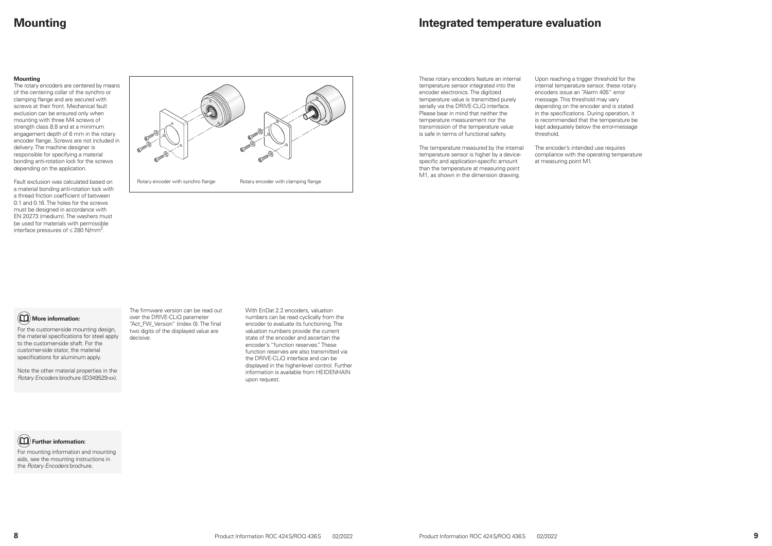### **Integrated temperature evaluation**

These rotary encoders feature an internal temperature sensor integrated into the encoder electronics. The digitized temperature value is transmitted purely serially via the DRIVE-CLiQ interface. Please bear in mind that neither the temperature measurement nor the transmission of the temperature value is safe in terms of functional safety.

The temperature measured by the internal temperature sensor is higher by a devicespecific and application-specific amount than the temperature at measuring point M1, as shown in the dimension drawing.

The rotary encoders are centered by means of the centering collar of the synchro or clamping flange and are secured with screws at their front. Mechanical fault exclusion can be ensured only when mounting with three M4 screws of strength class 8.8 and at a minimum engagement depth of 6 mm in the rotary encoder flange. Screws are not included in delivery. The machine designer is responsible for specifying a material bonding anti-rotation lock for the screws depending on the application.

Fault exclusion was calculated based on a material bonding anti-rotation lock with a thread friction coefficient of between 0.1 and 0.16. The holes for the screws must be designed in accordance with EN 20273 (medium). The washers must be used for materials with permissible interface pressures of  $\leq$  280 N/mm<sup>2</sup>.

Upon reaching a trigger threshold for the internal temperature sensor, these rotary encoders issue an "Alarm 405" error message. This threshold may vary depending on the encoder and is stated in the specifications. During operation, it is recommended that the temperature be kept adequately below the error-message threshold.

The encoder's intended use requires compliance with the operating temperature at measuring point M1.

### **Mounting**

#### **Mounting**



### **Further information:**

For mounting information and mounting aids, see the mounting instructions in the *Rotary Encoders* brochure.

The firmware version can be read out over the DRIVE-CLiQ parameter "Act\_FW\_Version" (index 0). The final two digits of the displayed value are decisive.

With EnDat 2.2 encoders, valuation numbers can be read cyclically from the encoder to evaluate its functioning. The valuation numbers provide the current state of the encoder and ascertain the encoder's "function reserves." These function reserves are also transmitted via the DRIVE-CLiQ interface and can be displayed in the higher-level control. Further information is available from HEIDENHAIN upon request.

### **More information:**

For the customer-side mounting design, the material specifications for steel apply to the customer-side shaft. For the customer-side stator, the material specifications for aluminum apply.

Note the other material properties in the *Rotary Encoders* brochure (ID349529-xx).